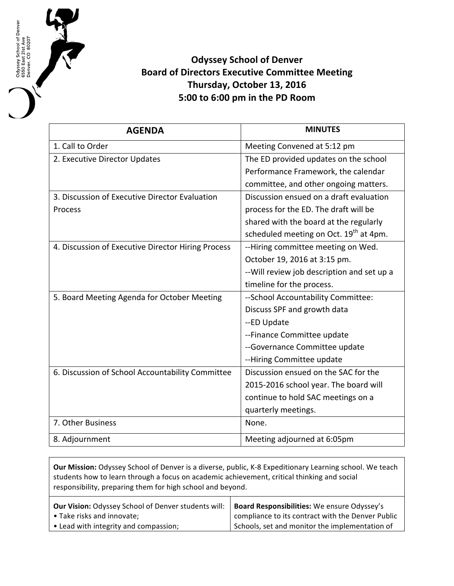**Odyssey School of Denver Board of Directors Executive Committee Meeting** Thursday, October 13, 2016 **5:00 to 6:00 pm in the PD Room**

Odyssey School of Denver<br>6550 East 21st Ave<br>Denver, CO 80207

| <b>AGENDA</b>                                      | <b>MINUTES</b>                                     |
|----------------------------------------------------|----------------------------------------------------|
| 1. Call to Order                                   | Meeting Convened at 5:12 pm                        |
| 2. Executive Director Updates                      | The ED provided updates on the school              |
|                                                    | Performance Framework, the calendar                |
|                                                    | committee, and other ongoing matters.              |
| 3. Discussion of Executive Director Evaluation     | Discussion ensued on a draft evaluation            |
| Process                                            | process for the ED. The draft will be              |
|                                                    | shared with the board at the regularly             |
|                                                    | scheduled meeting on Oct. 19 <sup>th</sup> at 4pm. |
| 4. Discussion of Executive Director Hiring Process | --Hiring committee meeting on Wed.                 |
|                                                    | October 19, 2016 at 3:15 pm.                       |
|                                                    | -- Will review job description and set up a        |
|                                                    | timeline for the process.                          |
| 5. Board Meeting Agenda for October Meeting        | -- School Accountability Committee:                |
|                                                    | Discuss SPF and growth data                        |
|                                                    | --ED Update                                        |
|                                                    | --Finance Committee update                         |
|                                                    | --Governance Committee update                      |
|                                                    | --Hiring Committee update                          |
| 6. Discussion of School Accountability Committee   | Discussion ensued on the SAC for the               |
|                                                    | 2015-2016 school year. The board will              |
|                                                    | continue to hold SAC meetings on a                 |
|                                                    | quarterly meetings.                                |
| 7. Other Business                                  | None.                                              |
| 8. Adjournment                                     | Meeting adjourned at 6:05pm                        |

**Our Mission:** Odyssey School of Denver is a diverse, public, K-8 Expeditionary Learning school. We teach students how to learn through a focus on academic achievement, critical thinking and social responsibility, preparing them for high school and beyond. **Our Vision:** Odyssey School of Denver students will: • Take risks and innovate; • Lead with integrity and compassion; **Board Responsibilities:** We ensure Odyssey's compliance to its contract with the Denver Public Schools, set and monitor the implementation of